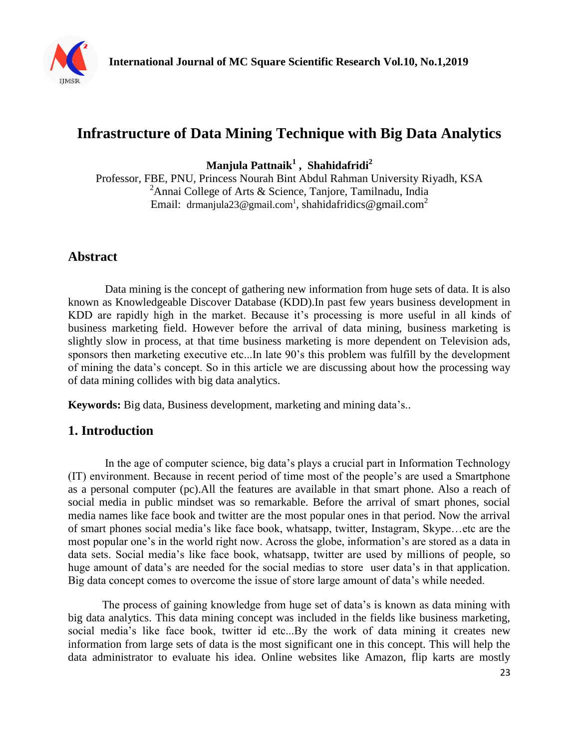

# **Infrastructure of Data Mining Technique with Big Data Analytics**

**Manjula Pattnaik<sup>1</sup> , Shahidafridi<sup>2</sup>**

Professor, FBE, PNU, Princess Nourah Bint Abdul Rahman University Riyadh, KSA <sup>2</sup>Annai College of Arts & Science, Tanjore, Tamilnadu, India Email: [drmanjula23@gmail.com](mailto:drmanjula23@gmail.com1)<sup>1</sup>, shahidafridics@gmail.com<sup>2</sup>

# **Abstract**

Data mining is the concept of gathering new information from huge sets of data. It is also known as Knowledgeable Discover Database (KDD).In past few years business development in KDD are rapidly high in the market. Because it's processing is more useful in all kinds of business marketing field. However before the arrival of data mining, business marketing is slightly slow in process, at that time business marketing is more dependent on Television ads, sponsors then marketing executive etc...In late 90's this problem was fulfill by the development of mining the data's concept. So in this article we are discussing about how the processing way of data mining collides with big data analytics.

**Keywords:** Big data, Business development, marketing and mining data's..

# **1. Introduction**

In the age of computer science, big data's plays a crucial part in Information Technology (IT) environment. Because in recent period of time most of the people's are used a Smartphone as a personal computer (pc).All the features are available in that smart phone. Also a reach of social media in public mindset was so remarkable. Before the arrival of smart phones, social media names like face book and twitter are the most popular ones in that period. Now the arrival of smart phones social media's like face book, whatsapp, twitter, Instagram, Skype…etc are the most popular one's in the world right now. Across the globe, information's are stored as a data in data sets. Social media's like face book, whatsapp, twitter are used by millions of people, so huge amount of data's are needed for the social medias to store user data's in that application. Big data concept comes to overcome the issue of store large amount of data's while needed.

The process of gaining knowledge from huge set of data's is known as data mining with big data analytics. This data mining concept was included in the fields like business marketing, social media's like face book, twitter id etc...By the work of data mining it creates new information from large sets of data is the most significant one in this concept. This will help the data administrator to evaluate his idea. Online websites like Amazon, flip karts are mostly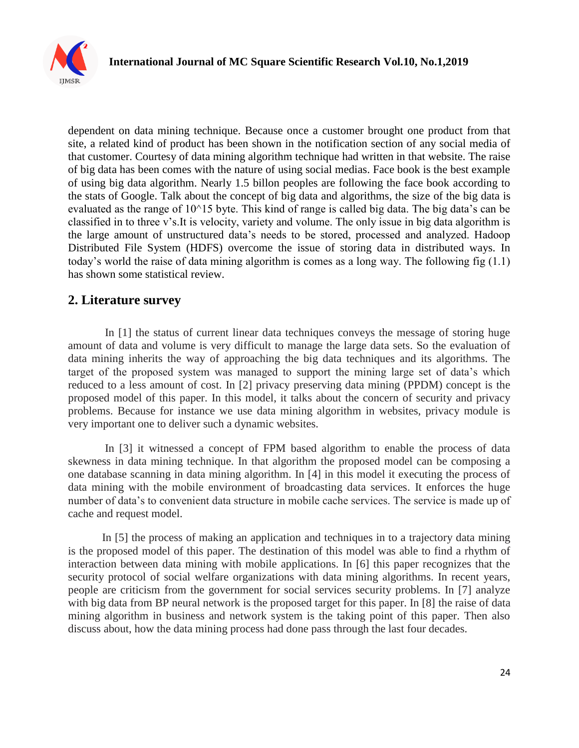

dependent on data mining technique. Because once a customer brought one product from that site, a related kind of product has been shown in the notification section of any social media of that customer. Courtesy of data mining algorithm technique had written in that website. The raise of big data has been comes with the nature of using social medias. Face book is the best example of using big data algorithm. Nearly 1.5 billon peoples are following the face book according to the stats of Google. Talk about the concept of big data and algorithms, the size of the big data is evaluated as the range of 10^15 byte. This kind of range is called big data. The big data's can be classified in to three v's.It is velocity, variety and volume. The only issue in big data algorithm is the large amount of unstructured data's needs to be stored, processed and analyzed. Hadoop Distributed File System (HDFS) overcome the issue of storing data in distributed ways. In today's world the raise of data mining algorithm is comes as a long way. The following fig (1.1) has shown some statistical review.

### **2. Literature survey**

In [1] the status of current linear data techniques conveys the message of storing huge amount of data and volume is very difficult to manage the large data sets. So the evaluation of data mining inherits the way of approaching the big data techniques and its algorithms. The target of the proposed system was managed to support the mining large set of data's which reduced to a less amount of cost. In [2] privacy preserving data mining (PPDM) concept is the proposed model of this paper. In this model, it talks about the concern of security and privacy problems. Because for instance we use data mining algorithm in websites, privacy module is very important one to deliver such a dynamic websites.

In [3] it witnessed a concept of FPM based algorithm to enable the process of data skewness in data mining technique. In that algorithm the proposed model can be composing a one database scanning in data mining algorithm. In [4] in this model it executing the process of data mining with the mobile environment of broadcasting data services. It enforces the huge number of data's to convenient data structure in mobile cache services. The service is made up of cache and request model.

In [5] the process of making an application and techniques in to a trajectory data mining is the proposed model of this paper. The destination of this model was able to find a rhythm of interaction between data mining with mobile applications. In [6] this paper recognizes that the security protocol of social welfare organizations with data mining algorithms. In recent years, people are criticism from the government for social services security problems. In [7] analyze with big data from BP neural network is the proposed target for this paper. In [8] the raise of data mining algorithm in business and network system is the taking point of this paper. Then also discuss about, how the data mining process had done pass through the last four decades.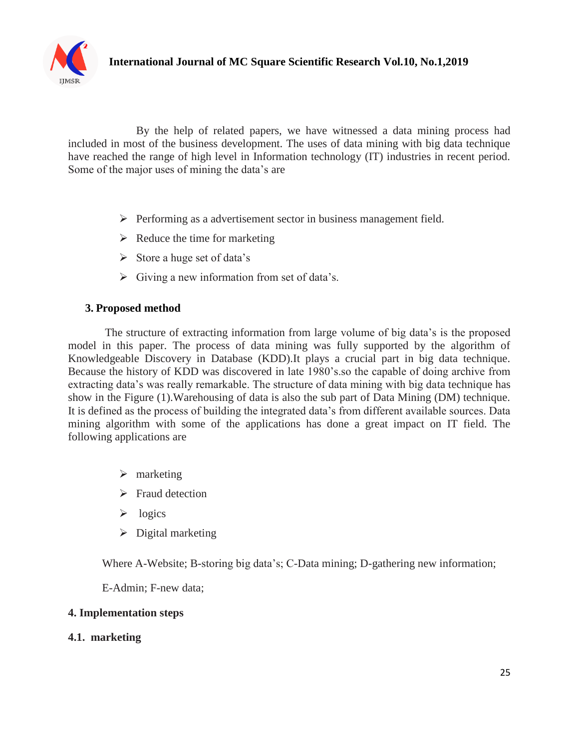

By the help of related papers, we have witnessed a data mining process had included in most of the business development. The uses of data mining with big data technique have reached the range of high level in Information technology (IT) industries in recent period. Some of the major uses of mining the data's are

- $\triangleright$  Performing as a advertisement sector in business management field.
- $\triangleright$  Reduce the time for marketing
- $\triangleright$  Store a huge set of data's
- $\triangleright$  Giving a new information from set of data's.

#### **3. Proposed method**

The structure of extracting information from large volume of big data's is the proposed model in this paper. The process of data mining was fully supported by the algorithm of Knowledgeable Discovery in Database (KDD).It plays a crucial part in big data technique. Because the history of KDD was discovered in late 1980's.so the capable of doing archive from extracting data's was really remarkable. The structure of data mining with big data technique has show in the Figure (1).Warehousing of data is also the sub part of Data Mining (DM) technique. It is defined as the process of building the integrated data's from different available sources. Data mining algorithm with some of the applications has done a great impact on IT field. The following applications are

- $\triangleright$  marketing
- $\triangleright$  Fraud detection
- $\triangleright$  logics
- $\triangleright$  Digital marketing

Where A-Website; B-storing big data's; C-Data mining; D-gathering new information;

E-Admin; F-new data;

#### **4. Implementation steps**

#### **4.1. marketing**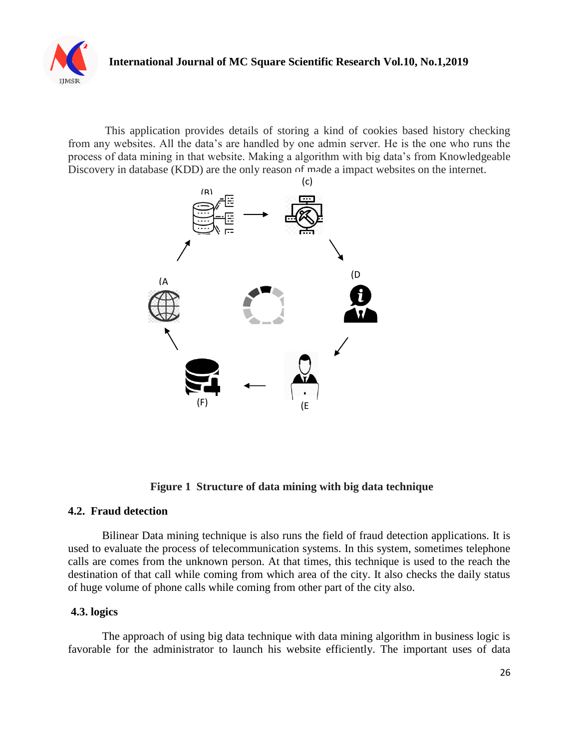

This application provides details of storing a kind of cookies based history checking from any websites. All the data's are handled by one admin server. He is the one who runs the process of data mining in that website. Making a algorithm with big data's from Knowledgeable Discovery in database (KDD) are the only reason of made a impact websites on the internet.



 **Figure 1 Structure of data mining with big data technique**

#### **4.2. Fraud detection**

Bilinear Data mining technique is also runs the field of fraud detection applications. It is used to evaluate the process of telecommunication systems. In this system, sometimes telephone calls are comes from the unknown person. At that times, this technique is used to the reach the destination of that call while coming from which area of the city. It also checks the daily status of huge volume of phone calls while coming from other part of the city also.

#### **4.3. logics**

The approach of using big data technique with data mining algorithm in business logic is favorable for the administrator to launch his website efficiently. The important uses of data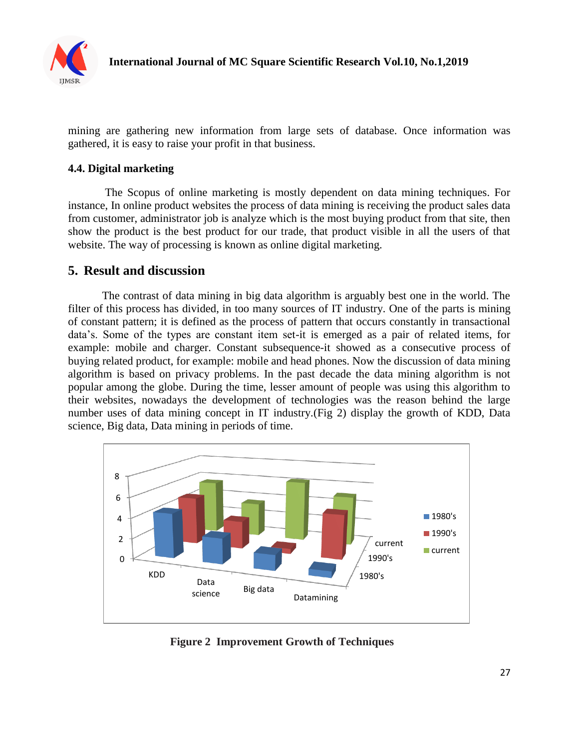

mining are gathering new information from large sets of database. Once information was gathered, it is easy to raise your profit in that business.

#### **4.4. Digital marketing**

The Scopus of online marketing is mostly dependent on data mining techniques. For instance, In online product websites the process of data mining is receiving the product sales data from customer, administrator job is analyze which is the most buying product from that site, then show the product is the best product for our trade, that product visible in all the users of that website. The way of processing is known as online digital marketing.

### **5. Result and discussion**

The contrast of data mining in big data algorithm is arguably best one in the world. The filter of this process has divided, in too many sources of IT industry. One of the parts is mining of constant pattern; it is defined as the process of pattern that occurs constantly in transactional data's. Some of the types are constant item set-it is emerged as a pair of related items, for example: mobile and charger. Constant subsequence-it showed as a consecutive process of buying related product, for example: mobile and head phones. Now the discussion of data mining algorithm is based on privacy problems. In the past decade the data mining algorithm is not popular among the globe. During the time, lesser amount of people was using this algorithm to their websites, nowadays the development of technologies was the reason behind the large number uses of data mining concept in IT industry.(Fig 2) display the growth of KDD, Data science, Big data, Data mining in periods of time.



**Figure 2 Improvement Growth of Techniques**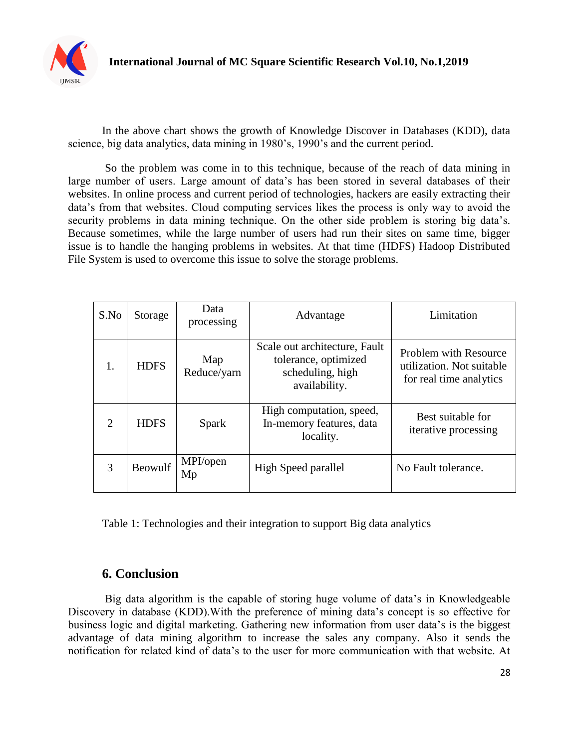

In the above chart shows the growth of Knowledge Discover in Databases (KDD), data science, big data analytics, data mining in 1980's, 1990's and the current period.

So the problem was come in to this technique, because of the reach of data mining in large number of users. Large amount of data's has been stored in several databases of their websites. In online process and current period of technologies, hackers are easily extracting their data's from that websites. Cloud computing services likes the process is only way to avoid the security problems in data mining technique. On the other side problem is storing big data's. Because sometimes, while the large number of users had run their sites on same time, bigger issue is to handle the hanging problems in websites. At that time (HDFS) Hadoop Distributed File System is used to overcome this issue to solve the storage problems.

| S.No                        | Storage        | Data<br>processing | Advantage                                                                                  | Limitation                                                                    |
|-----------------------------|----------------|--------------------|--------------------------------------------------------------------------------------------|-------------------------------------------------------------------------------|
| 1.                          | <b>HDFS</b>    | Map<br>Reduce/yarn | Scale out architecture, Fault<br>tolerance, optimized<br>scheduling, high<br>availability. | Problem with Resource<br>utilization. Not suitable<br>for real time analytics |
| $\mathcal{D}_{\mathcal{L}}$ | <b>HDFS</b>    | Spark              | High computation, speed,<br>In-memory features, data<br>locality.                          | Best suitable for<br>iterative processing                                     |
| 3                           | <b>Beowulf</b> | MPI/open<br>Mp     | High Speed parallel                                                                        | No Fault tolerance.                                                           |

Table 1: Technologies and their integration to support Big data analytics

## **6. Conclusion**

Big data algorithm is the capable of storing huge volume of data's in Knowledgeable Discovery in database (KDD).With the preference of mining data's concept is so effective for business logic and digital marketing. Gathering new information from user data's is the biggest advantage of data mining algorithm to increase the sales any company. Also it sends the notification for related kind of data's to the user for more communication with that website. At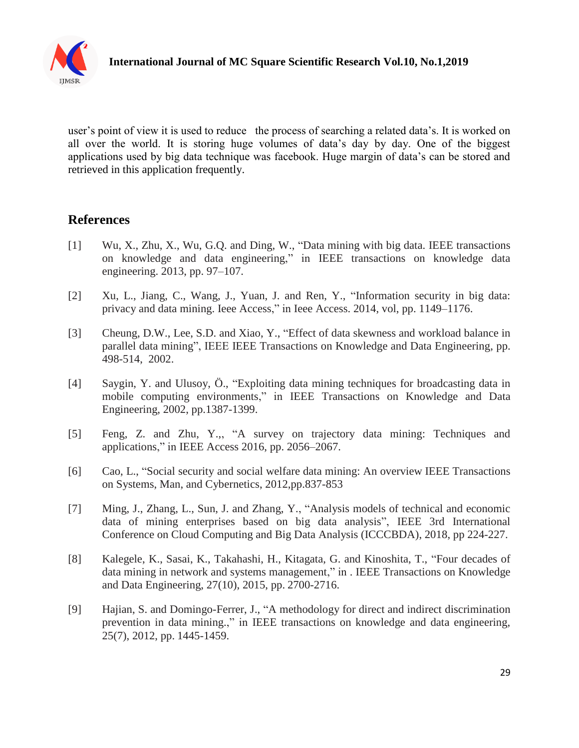

user's point of view it is used to reduce the process of searching a related data's. It is worked on all over the world. It is storing huge volumes of data's day by day. One of the biggest applications used by big data technique was facebook. Huge margin of data's can be stored and retrieved in this application frequently.

## **References**

- [1] Wu, X., Zhu, X., Wu, G.Q. and Ding, W., "Data mining with big data. IEEE transactions on knowledge and data engineering," in IEEE transactions on knowledge data engineering. 2013, pp. 97–107.
- [2] Xu, L., Jiang, C., Wang, J., Yuan, J. and Ren, Y., "Information security in big data: privacy and data mining. Ieee Access," in Ieee Access. 2014, vol, pp. 1149–1176.
- [3] Cheung, D.W., Lee, S.D. and Xiao, Y., "Effect of data skewness and workload balance in parallel data mining", IEEE IEEE Transactions on Knowledge and Data Engineering, pp. 498-514, 2002.
- [4] Saygin, Y. and Ulusoy, Ö., "Exploiting data mining techniques for broadcasting data in mobile computing environments," in IEEE Transactions on Knowledge and Data Engineering, 2002, pp.1387-1399.
- [5] Feng, Z. and Zhu, Y.,, "A survey on trajectory data mining: Techniques and applications," in IEEE Access 2016, pp. 2056–2067.
- [6] Cao, L., "Social security and social welfare data mining: An overview IEEE Transactions on Systems, Man, and Cybernetics, 2012,pp.837-853
- [7] Ming, J., Zhang, L., Sun, J. and Zhang, Y., "Analysis models of technical and economic data of mining enterprises based on big data analysis", IEEE 3rd International Conference on Cloud Computing and Big Data Analysis (ICCCBDA), 2018, pp 224-227.
- [8] Kalegele, K., Sasai, K., Takahashi, H., Kitagata, G. and Kinoshita, T., "Four decades of data mining in network and systems management," in . IEEE Transactions on Knowledge and Data Engineering, 27(10), 2015, pp. 2700-2716.
- [9] Hajian, S. and Domingo-Ferrer, J., "A methodology for direct and indirect discrimination prevention in data mining.," in IEEE transactions on knowledge and data engineering, 25(7), 2012, pp. 1445-1459.